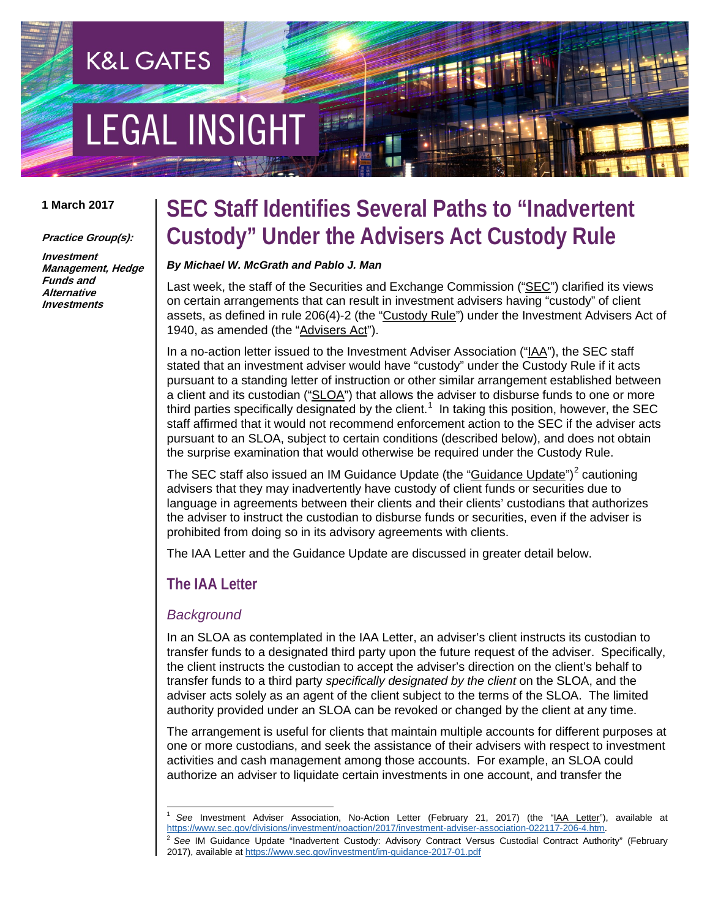# **EGAL INSIGHT**

**K&L GATES** 

#### **1 March 2017**

**Practice Group(s):**

**Investment Management, Hedge Funds and Alternative Investments**

### **SEC Staff Identifies Several Paths to "Inadvertent Custody" Under the Advisers Act Custody Rule**

#### *By Michael W. McGrath and Pablo J. Man*

Last week, the staff of the Securities and Exchange Commission ("SEC") clarified its views on certain arrangements that can result in investment advisers having "custody" of client assets, as defined in rule 206(4)-2 (the "Custody Rule") under the Investment Advisers Act of 1940, as amended (the "Advisers Act").

In a no-action letter issued to the Investment Adviser Association ("IAA"), the SEC staff stated that an investment adviser would have "custody" under the Custody Rule if it acts pursuant to a standing letter of instruction or other similar arrangement established between a client and its custodian ("SLOA") that allows the adviser to disburse funds to one or more third parties specifically designated by the client.<sup>[1](#page-0-0)</sup> In taking this position, however, the SEC staff affirmed that it would not recommend enforcement action to the SEC if the adviser acts pursuant to an SLOA, subject to certain conditions (described below), and does not obtain the surprise examination that would otherwise be required under the Custody Rule.

The SEC staff also issued an IM Guidance Update (the "Guidance Update")<sup>[2](#page-0-1)</sup> cautioning advisers that they may inadvertently have custody of client funds or securities due to language in agreements between their clients and their clients' custodians that authorizes the adviser to instruct the custodian to disburse funds or securities, even if the adviser is prohibited from doing so in its advisory agreements with clients.

The IAA Letter and the Guidance Update are discussed in greater detail below.

#### **The IAA Le**t**ter**

#### *Background*

In an SLOA as contemplated in the IAA Letter, an adviser's client instructs its custodian to transfer funds to a designated third party upon the future request of the adviser. Specifically, the client instructs the custodian to accept the adviser's direction on the client's behalf to transfer funds to a third party *specifically designated by the client* on the SLOA, and the adviser acts solely as an agent of the client subject to the terms of the SLOA. The limited authority provided under an SLOA can be revoked or changed by the client at any time.

The arrangement is useful for clients that maintain multiple accounts for different purposes at one or more custodians, and seek the assistance of their advisers with respect to investment activities and cash management among those accounts. For example, an SLOA could authorize an adviser to liquidate certain investments in one account, and transfer the

<span id="page-0-0"></span>See Investment Adviser Association, No-Action Letter (February 21, 2017) (the "IAA Letter"), available at [https://www.sec.gov/divisions/investment/noaction/2017/investment-adviser-association-022117-206-4.htm.](https://www.sec.gov/divisions/investment/noaction/2017/investment-adviser-association-022117-206-4.htm)

<span id="page-0-1"></span><sup>2</sup> *See* IM Guidance Update "Inadvertent Custody: Advisory Contract Versus Custodial Contract Authority" (February 2017), available a[t https://www.sec.gov/investment/im-guidance-2017-01.pdf](https://www.sec.gov/investment/im-guidance-2017-01.pdf)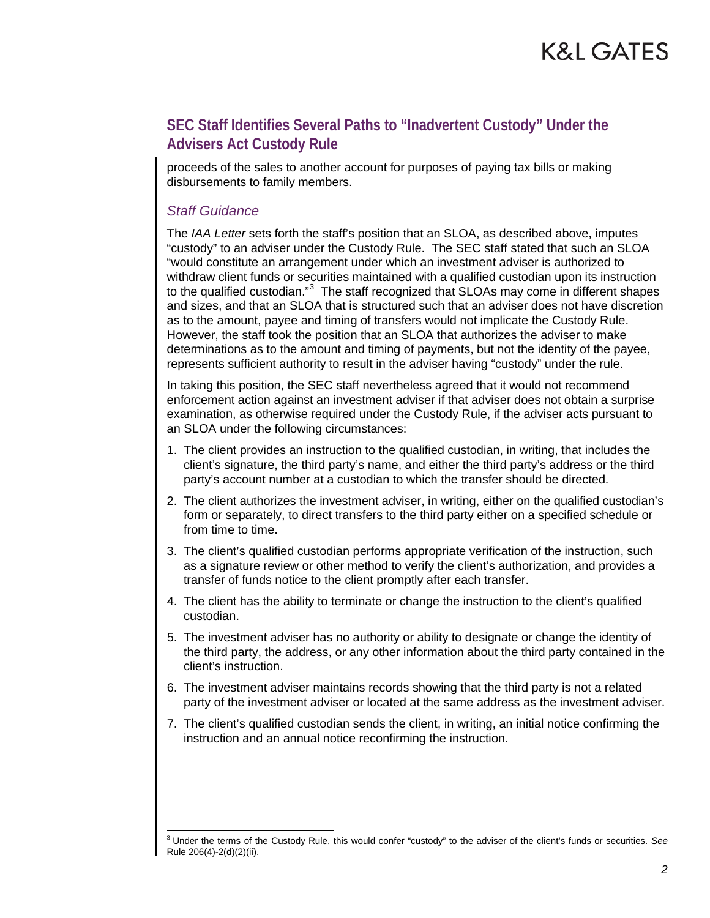proceeds of the sales to another account for purposes of paying tax bills or making disbursements to family members.

#### *Staff Guidance*

The *IAA Letter* sets forth the staff's position that an SLOA, as described above, imputes "custody" to an adviser under the Custody Rule. The SEC staff stated that such an SLOA "would constitute an arrangement under which an investment adviser is authorized to withdraw client funds or securities maintained with a qualified custodian upon its instruction to the qualified custodian."<sup>[3](#page-1-0)</sup> The staff recognized that SLOAs may come in different shapes and sizes, and that an SLOA that is structured such that an adviser does not have discretion as to the amount, payee and timing of transfers would not implicate the Custody Rule. However, the staff took the position that an SLOA that authorizes the adviser to make determinations as to the amount and timing of payments, but not the identity of the payee, represents sufficient authority to result in the adviser having "custody" under the rule.

In taking this position, the SEC staff nevertheless agreed that it would not recommend enforcement action against an investment adviser if that adviser does not obtain a surprise examination, as otherwise required under the Custody Rule, if the adviser acts pursuant to an SLOA under the following circumstances:

- 1. The client provides an instruction to the qualified custodian, in writing, that includes the client's signature, the third party's name, and either the third party's address or the third party's account number at a custodian to which the transfer should be directed.
- 2. The client authorizes the investment adviser, in writing, either on the qualified custodian's form or separately, to direct transfers to the third party either on a specified schedule or from time to time.
- 3. The client's qualified custodian performs appropriate verification of the instruction, such as a signature review or other method to verify the client's authorization, and provides a transfer of funds notice to the client promptly after each transfer.
- 4. The client has the ability to terminate or change the instruction to the client's qualified custodian.
- 5. The investment adviser has no authority or ability to designate or change the identity of the third party, the address, or any other information about the third party contained in the client's instruction.
- 6. The investment adviser maintains records showing that the third party is not a related party of the investment adviser or located at the same address as the investment adviser.
- 7. The client's qualified custodian sends the client, in writing, an initial notice confirming the instruction and an annual notice reconfirming the instruction.

<span id="page-1-0"></span> <sup>3</sup> Under the terms of the Custody Rule, this would confer "custody" to the adviser of the client's funds or securities. *See*  Rule 206(4)-2(d)(2)(ii).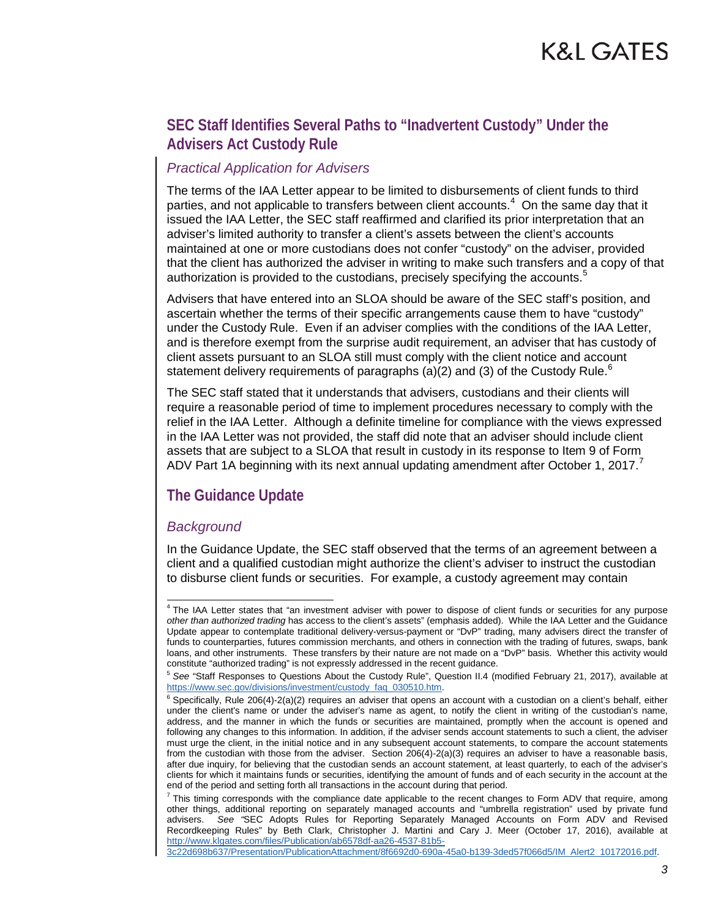#### *Practical Application for Advisers*

The terms of the IAA Letter appear to be limited to disbursements of client funds to third parties, and not applicable to transfers between client accounts. $^4\,$  $^4\,$  $^4\,$  On the same day that it issued the IAA Letter, the SEC staff reaffirmed and clarified its prior interpretation that an adviser's limited authority to transfer a client's assets between the client's accounts maintained at one or more custodians does not confer "custody" on the adviser, provided that the client has authorized the adviser in writing to make such transfers and a copy of that authorization is provided to the custodians, precisely specifying the accounts.<sup>[5](#page-2-1)</sup>

Advisers that have entered into an SLOA should be aware of the SEC staff's position, and ascertain whether the terms of their specific arrangements cause them to have "custody" under the Custody Rule. Even if an adviser complies with the conditions of the IAA Letter, and is therefore exempt from the surprise audit requirement, an adviser that has custody of client assets pursuant to an SLOA still must comply with the client notice and account statement delivery requirements of paragraphs (a)(2) and (3) of the Custody Rule.<sup>[6](#page-2-2)</sup>

The SEC staff stated that it understands that advisers, custodians and their clients will require a reasonable period of time to implement procedures necessary to comply with the relief in the IAA Letter. Although a definite timeline for compliance with the views expressed in the IAA Letter was not provided, the staff did note that an adviser should include client assets that are subject to a SLOA that result in custody in its response to Item 9 of Form ADV Part 1A beginning with its next annual updating amendment after October 1, 201[7](#page-2-3).

#### **The Guidance Update**

#### *Background*

In the Guidance Update, the SEC staff observed that the terms of an agreement between a client and a qualified custodian might authorize the client's adviser to instruct the custodian to disburse client funds or securities. For example, a custody agreement may contain

[3c22d698b637/Presentation/PublicationAttachment/8f6692d0-690a-45a0-b139-3ded57f066d5/IM\\_Alert2\\_10172016.pdf.](http://www.klgates.com/files/Publication/ab6578df-aa26-4537-81b5-3c22d698b637/Presentation/PublicationAttachment/8f6692d0-690a-45a0-b139-3ded57f066d5/IM_Alert2_10172016.pdf)

<span id="page-2-0"></span><sup>&</sup>lt;sup>4</sup> The IAA Letter states that "an investment adviser with power to dispose of client funds or securities for any purpose *other than authorized trading* has access to the client's assets" (emphasis added). While the IAA Letter and the Guidance Update appear to contemplate traditional delivery-versus-payment or "DvP" trading, many advisers direct the transfer of funds to counterparties, futures commission merchants, and others in connection with the trading of futures, swaps, bank loans, and other instruments. These transfers by their nature are not made on a "DvP" basis. Whether this activity would constitute "authorized trading" is not expressly addressed in the recent guidance.

<span id="page-2-1"></span><sup>&</sup>lt;sup>5</sup> See "Staff Responses to Questions About the Custody Rule", Question II.4 (modified February 21, 2017), available at https://www.sec.gov/divisions/investment/custody\_faq\_030510.htm.

<span id="page-2-2"></span> $6$  Specifically, Rule 206(4)-2(a)(2) requires an adviser that opens an account with a custodian on a client's behalf, either under the client's name or under the adviser's name as agent, to notify the client in writing of the custodian's name, address, and the manner in which the funds or securities are maintained, promptly when the account is opened and following any changes to this information. In addition, if the adviser sends account statements to such a client, the adviser must urge the client, in the initial notice and in any subsequent account statements, to compare the account statements from the custodian with those from the adviser. Section 206(4)-2(a)(3) requires an adviser to have a reasonable basis, after due inquiry, for believing that the custodian sends an account statement, at least quarterly, to each of the adviser's clients for which it maintains funds or securities, identifying the amount of funds and of each security in the account at the end of the period and setting forth all transactions in the account during that period.

<span id="page-2-3"></span> $<sup>7</sup>$  This timing corresponds with the compliance date applicable to the recent changes to Form ADV that require, among</sup> other things, additional reporting on separately managed accounts and "umbrella registration" used by private fund<br>advisers. See 'SEC Adopts Rules for Reporting Separately Managed Accounts on Form ADV and Revised See "SEC Adopts Rules for Reporting Separately Managed Accounts on Form ADV and Revised Recordkeeping Rules" by Beth Clark, Christopher J. Martini and Cary J. Meer (October 17, 2016), available at [http://www.klgates.com/files/Publication/ab6578df-aa26-4537-81b5-](http://www.klgates.com/files/Publication/ab6578df-aa26-4537-81b5-3c22d698b637/Presentation/PublicationAttachment/8f6692d0-690a-45a0-b139-3ded57f066d5/IM_Alert2_10172016.pdf)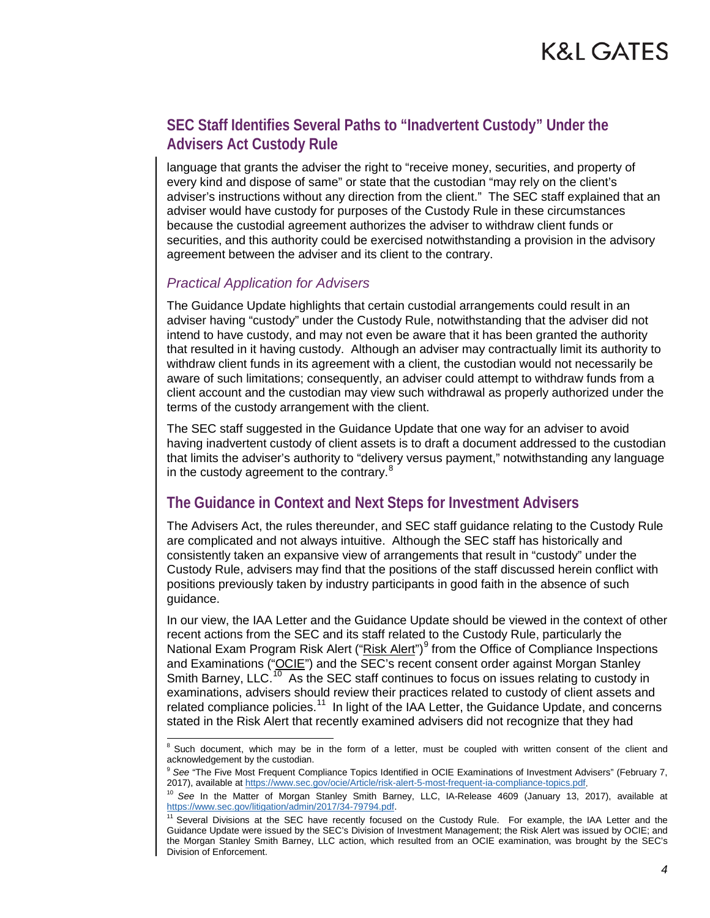language that grants the adviser the right to "receive money, securities, and property of every kind and dispose of same" or state that the custodian "may rely on the client's adviser's instructions without any direction from the client." The SEC staff explained that an adviser would have custody for purposes of the Custody Rule in these circumstances because the custodial agreement authorizes the adviser to withdraw client funds or securities, and this authority could be exercised notwithstanding a provision in the advisory agreement between the adviser and its client to the contrary.

#### *Practical Application for Advisers*

The Guidance Update highlights that certain custodial arrangements could result in an adviser having "custody" under the Custody Rule, notwithstanding that the adviser did not intend to have custody, and may not even be aware that it has been granted the authority that resulted in it having custody. Although an adviser may contractually limit its authority to withdraw client funds in its agreement with a client, the custodian would not necessarily be aware of such limitations; consequently, an adviser could attempt to withdraw funds from a client account and the custodian may view such withdrawal as properly authorized under the terms of the custody arrangement with the client.

The SEC staff suggested in the Guidance Update that one way for an adviser to avoid having inadvertent custody of client assets is to draft a document addressed to the custodian that limits the adviser's authority to "delivery versus payment," notwithstanding any language in the custody agreement to the contrary. $8$ 

#### **The Guidance in Context and Next Steps for Investment Advisers**

The Advisers Act, the rules thereunder, and SEC staff guidance relating to the Custody Rule are complicated and not always intuitive. Although the SEC staff has historically and consistently taken an expansive view of arrangements that result in "custody" under the Custody Rule, advisers may find that the positions of the staff discussed herein conflict with positions previously taken by industry participants in good faith in the absence of such guidance.

In our view, the IAA Letter and the Guidance Update should be viewed in the context of other recent actions from the SEC and its staff related to the Custody Rule, particularly the National Exam Program Risk Alert ("Risk Alert")<sup>[9](#page-3-1)</sup> from the Office of Compliance Inspections and Examinations ("OCIE") and the SEC's recent consent order against Morgan Stanley Smith Barney, LLC.<sup>[10](#page-3-2)</sup> As the SEC staff continues to focus on issues relating to custody in examinations, advisers should review their practices related to custody of client assets and related compliance policies.<sup>[11](#page-3-3)</sup> In light of the IAA Letter, the Guidance Update, and concerns stated in the Risk Alert that recently examined advisers did not recognize that they had

<span id="page-3-0"></span> $8$  Such document, which may be in the form of a letter, must be coupled with written consent of the client and acknowledgement by the custodian.

<span id="page-3-1"></span><sup>&</sup>lt;sup>9</sup> See "The Five Most Frequent Compliance Topics Identified in OCIE Examinations of Investment Advisers" (February 7, 2017), available a[t https://www.sec.gov/ocie/Article/risk-alert-5-most-frequent-ia-compliance-topics.pdf.](https://www.sec.gov/ocie/Article/risk-alert-5-most-frequent-ia-compliance-topics.pdf)

<span id="page-3-2"></span><sup>10</sup> *See* In the Matter of Morgan Stanley Smith Barney, LLC, IA-Release 4609 (January 13, 2017), available at [https://www.sec.gov/litigation/admin/2017/34-79794.pdf.](https://www.sec.gov/litigation/admin/2017/34-79794.pdf)<br><sup>[11](https://www.sec.gov/litigation/admin/2017/34-79794.pdf)</sup> Several Divisions at the SEC have recently focused on the Custody Rule. For example, the IAA Letter and the

<span id="page-3-3"></span>Guidance Update were issued by the SEC's Division of Investment Management; the Risk Alert was issued by OCIE; and the Morgan Stanley Smith Barney, LLC action, which resulted from an OCIE examination, was brought by the SEC's Division of Enforcement.